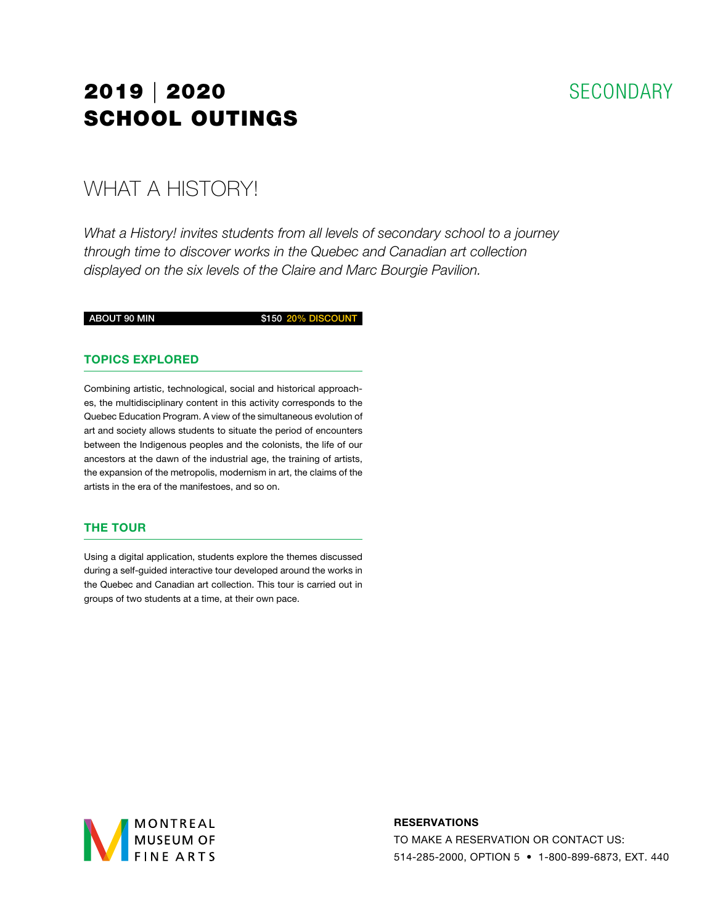## **SECONDARY**

# 2019 | 2020 SCHOOL OUTINGS

## WHAT A HISTORY!

*What a History! invites students from all levels of secondary school to a journey through time to discover works in the Quebec and Canadian art collection displayed on the six levels of the Claire and Marc Bourgie Pavilion.*

ABOUT 90 MIN \$150 20% DISCOUNT

### TOPICS EXPLORED

Combining artistic, technological, social and historical approaches, the multidisciplinary content in this activity corresponds to the Quebec Education Program. A view of the simultaneous evolution of art and society allows students to situate the period of encounters between the Indigenous peoples and the colonists, the life of our ancestors at the dawn of the industrial age, the training of artists, the expansion of the metropolis, modernism in art, the claims of the artists in the era of the manifestoes, and so on.

#### THE TOUR

Using a digital application, students explore the themes discussed during a self-guided interactive tour developed around the works in the Quebec and Canadian art collection. This tour is carried out in groups of two students at a time, at their own pace.



#### RESERVATIONS

TO MAKE A RESERVATION OR CONTACT US: 514-285-2000, OPTION 5 • 1-800-899-6873, EXT. 440